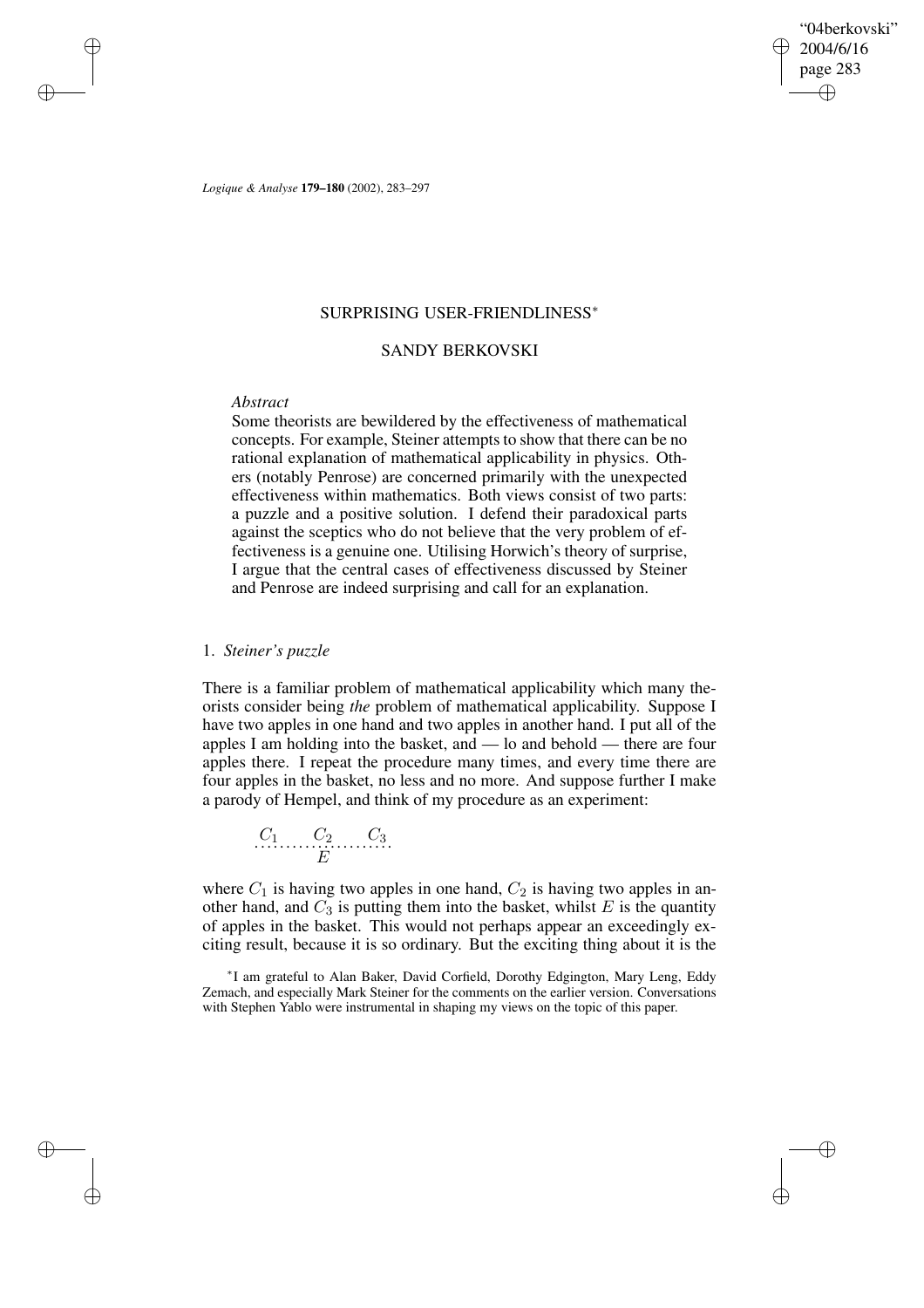"04berkovski" 2004/6/16 page 283 ✐ ✐

✐

✐

*Logique & Analyse* **179–180** (2002), 283–297

# SURPRISING USER-FRIENDLINESS<sup>∗</sup>

# SANDY BERKOVSKI

# *Abstract*

✐

✐

✐

✐

Some theorists are bewildered by the effectiveness of mathematical concepts. For example, Steiner attempts to show that there can be no rational explanation of mathematical applicability in physics. Others (notably Penrose) are concerned primarily with the unexpected effectiveness within mathematics. Both views consist of two parts: a puzzle and a positive solution. I defend their paradoxical parts against the sceptics who do not believe that the very problem of effectiveness is a genuine one. Utilising Horwich's theory of surprise, I argue that the central cases of effectiveness discussed by Steiner and Penrose are indeed surprising and call for an explanation.

# 1. *Steiner's puzzle*

There is a familiar problem of mathematical applicability which many theorists consider being *the* problem of mathematical applicability. Suppose I have two apples in one hand and two apples in another hand. I put all of the apples I am holding into the basket, and — lo and behold — there are four apples there. I repeat the procedure many times, and every time there are four apples in the basket, no less and no more. And suppose further I make a parody of Hempel, and think of my procedure as an experiment:

$$
\begin{array}{cccc}\nC_1 & C_2 & C_3 \\
\hline\nE\n\end{array}
$$

where  $C_1$  is having two apples in one hand,  $C_2$  is having two apples in another hand, and  $C_3$  is putting them into the basket, whilst  $E$  is the quantity of apples in the basket. This would not perhaps appear an exceedingly exciting result, because it is so ordinary. But the exciting thing about it is the

∗ I am grateful to Alan Baker, David Corfield, Dorothy Edgington, Mary Leng, Eddy Zemach, and especially Mark Steiner for the comments on the earlier version. Conversations with Stephen Yablo were instrumental in shaping my views on the topic of this paper.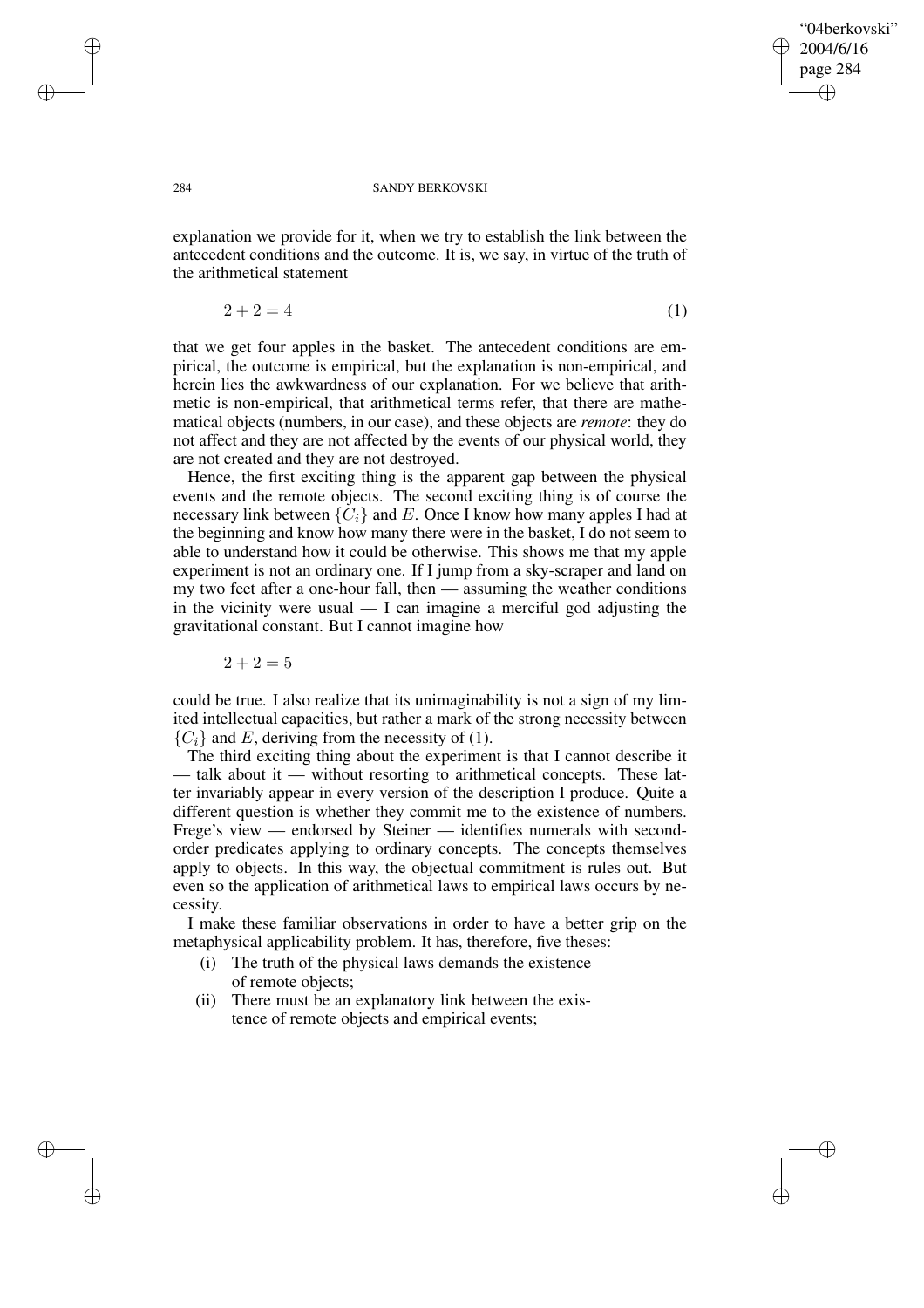✐

✐

### 284 SANDY BERKOVSKI

explanation we provide for it, when we try to establish the link between the antecedent conditions and the outcome. It is, we say, in virtue of the truth of the arithmetical statement

$$
2 + 2 = 4 \tag{1}
$$

that we get four apples in the basket. The antecedent conditions are empirical, the outcome is empirical, but the explanation is non-empirical, and herein lies the awkwardness of our explanation. For we believe that arithmetic is non-empirical, that arithmetical terms refer, that there are mathematical objects (numbers, in our case), and these objects are *remote*: they do not affect and they are not affected by the events of our physical world, they are not created and they are not destroyed.

Hence, the first exciting thing is the apparent gap between the physical events and the remote objects. The second exciting thing is of course the necessary link between  $\{C_i\}$  and E. Once I know how many apples I had at the beginning and know how many there were in the basket, I do not seem to able to understand how it could be otherwise. This shows me that my apple experiment is not an ordinary one. If I jump from a sky-scraper and land on my two feet after a one-hour fall, then — assuming the weather conditions in the vicinity were usual  $- I$  can imagine a merciful god adjusting the gravitational constant. But I cannot imagine how

 $2 + 2 = 5$ 

could be true. I also realize that its unimaginability is not a sign of my limited intellectual capacities, but rather a mark of the strong necessity between  ${C<sub>i</sub>}$  and E, deriving from the necessity of (1).

The third exciting thing about the experiment is that I cannot describe it — talk about it — without resorting to arithmetical concepts. These latter invariably appear in every version of the description I produce. Quite a different question is whether they commit me to the existence of numbers. Frege's view — endorsed by Steiner — identifies numerals with secondorder predicates applying to ordinary concepts. The concepts themselves apply to objects. In this way, the objectual commitment is rules out. But even so the application of arithmetical laws to empirical laws occurs by necessity.

I make these familiar observations in order to have a better grip on the metaphysical applicability problem. It has, therefore, five theses:

- (i) The truth of the physical laws demands the existence of remote objects;
- (ii) There must be an explanatory link between the existence of remote objects and empirical events;

✐

✐

✐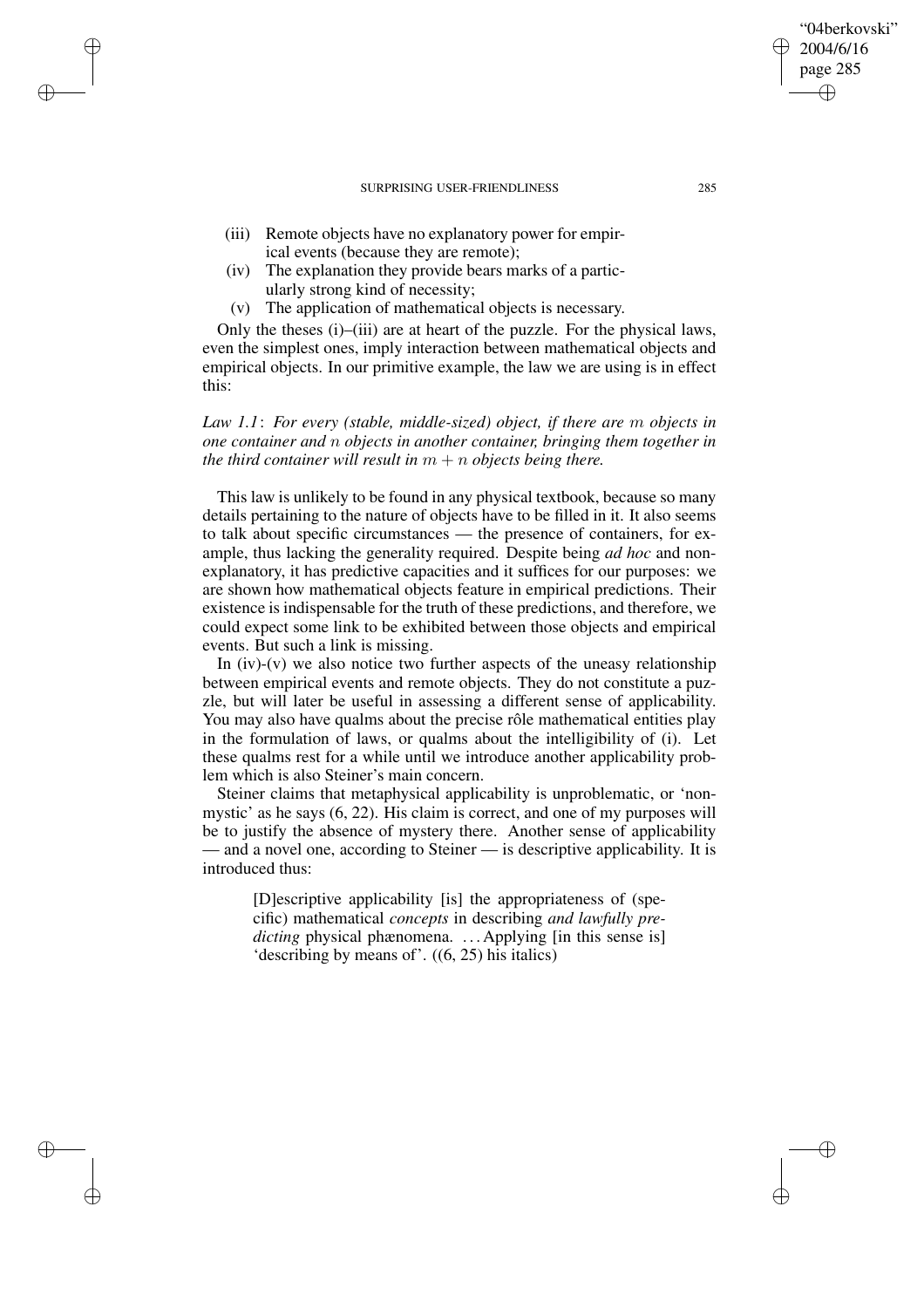(iii) Remote objects have no explanatory power for empirical events (because they are remote);

✐

✐

✐

✐

- (iv) The explanation they provide bears marks of a particularly strong kind of necessity;
- (v) The application of mathematical objects is necessary.

Only the theses (i)–(iii) are at heart of the puzzle. For the physical laws, even the simplest ones, imply interaction between mathematical objects and empirical objects. In our primitive example, the law we are using is in effect this:

# *Law 1.1*: *For every (stable, middle-sized) object, if there are* m *objects in one container and* n *objects in another container, bringing them together in the third container will result in*  $m + n$  *objects being there.*

This law is unlikely to be found in any physical textbook, because so many details pertaining to the nature of objects have to be filled in it. It also seems to talk about specific circumstances — the presence of containers, for example, thus lacking the generality required. Despite being *ad hoc* and nonexplanatory, it has predictive capacities and it suffices for our purposes: we are shown how mathematical objects feature in empirical predictions. Their existence is indispensable for the truth of these predictions, and therefore, we could expect some link to be exhibited between those objects and empirical events. But such a link is missing.

In  $(iv)$ - $(v)$  we also notice two further aspects of the uneasy relationship between empirical events and remote objects. They do not constitute a puzzle, but will later be useful in assessing a different sense of applicability. You may also have qualms about the precise rôle mathematical entities play in the formulation of laws, or qualms about the intelligibility of (i). Let these qualms rest for a while until we introduce another applicability problem which is also Steiner's main concern.

Steiner claims that metaphysical applicability is unproblematic, or 'nonmystic' as he says (6, 22). His claim is correct, and one of my purposes will be to justify the absence of mystery there. Another sense of applicability — and a novel one, according to Steiner — is descriptive applicability. It is introduced thus:

[D]escriptive applicability [is] the appropriateness of (specific) mathematical *concepts* in describing *and lawfully predicting* physical phænomena. ... Applying [in this sense is] 'describing by means of'. ((6, 25) his italics)

"04berkovski" 2004/6/16 page 285

✐

✐

✐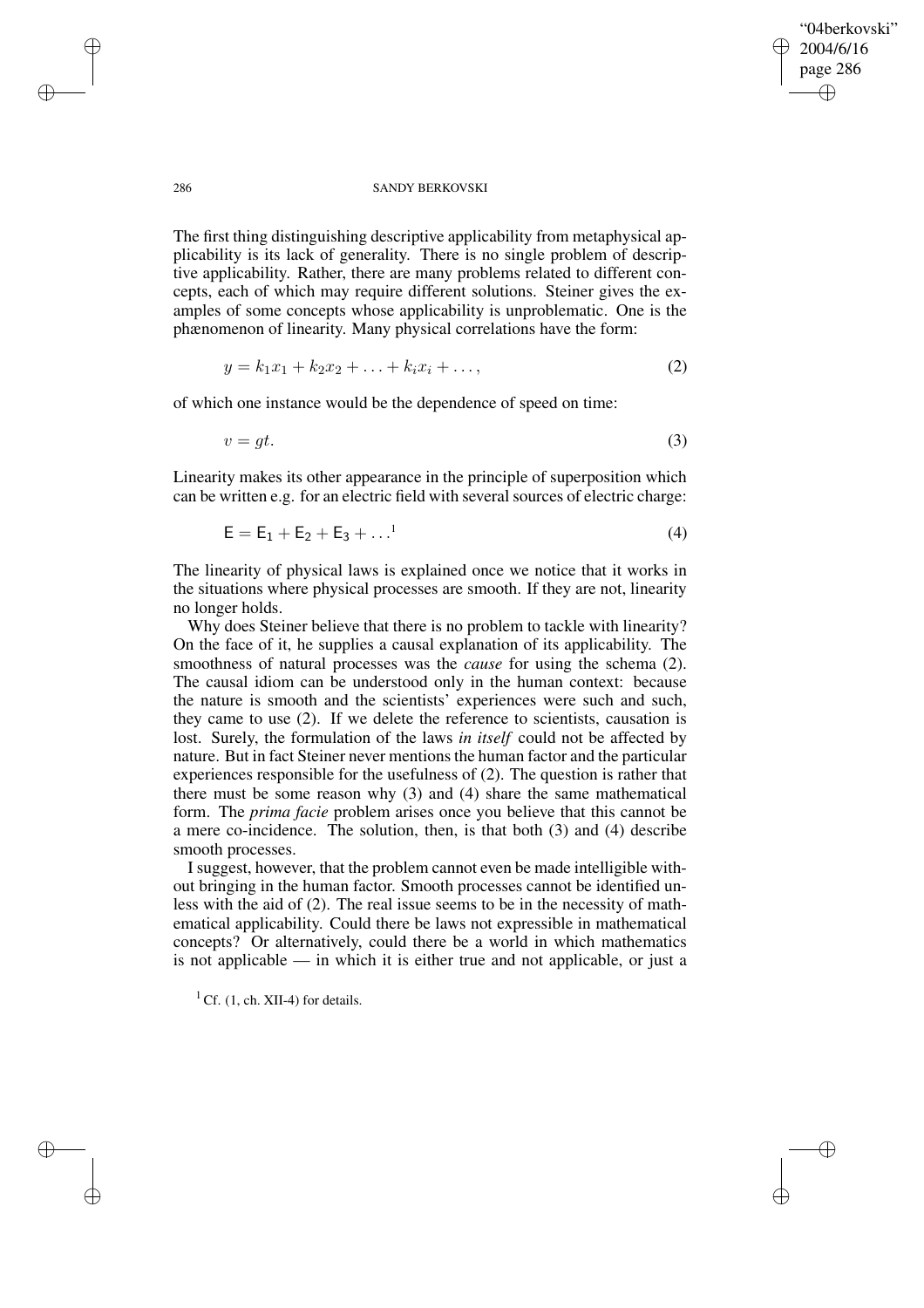✐

✐

### 286 SANDY BERKOVSKI

The first thing distinguishing descriptive applicability from metaphysical applicability is its lack of generality. There is no single problem of descriptive applicability. Rather, there are many problems related to different concepts, each of which may require different solutions. Steiner gives the examples of some concepts whose applicability is unproblematic. One is the phænomenon of linearity. Many physical correlations have the form:

$$
y = k_1 x_1 + k_2 x_2 + \ldots + k_i x_i + \ldots, \tag{2}
$$

of which one instance would be the dependence of speed on time:

$$
v = gt.
$$
 (3)

Linearity makes its other appearance in the principle of superposition which can be written e.g. for an electric field with several sources of electric charge:

$$
E = E_1 + E_2 + E_3 + \dots^1
$$
 (4)

The linearity of physical laws is explained once we notice that it works in the situations where physical processes are smooth. If they are not, linearity no longer holds.

Why does Steiner believe that there is no problem to tackle with linearity? On the face of it, he supplies a causal explanation of its applicability. The smoothness of natural processes was the *cause* for using the schema (2). The causal idiom can be understood only in the human context: because the nature is smooth and the scientists' experiences were such and such, they came to use (2). If we delete the reference to scientists, causation is lost. Surely, the formulation of the laws *in itself* could not be affected by nature. But in fact Steiner never mentions the human factor and the particular experiences responsible for the usefulness of (2). The question is rather that there must be some reason why (3) and (4) share the same mathematical form. The *prima facie* problem arises once you believe that this cannot be a mere co-incidence. The solution, then, is that both (3) and (4) describe smooth processes.

I suggest, however, that the problem cannot even be made intelligible without bringing in the human factor. Smooth processes cannot be identified unless with the aid of (2). The real issue seems to be in the necessity of mathematical applicability. Could there be laws not expressible in mathematical concepts? Or alternatively, could there be a world in which mathematics is not applicable — in which it is either true and not applicable, or just a

 ${}^{1}$  Cf. (1, ch. XII-4) for details.

✐

✐

✐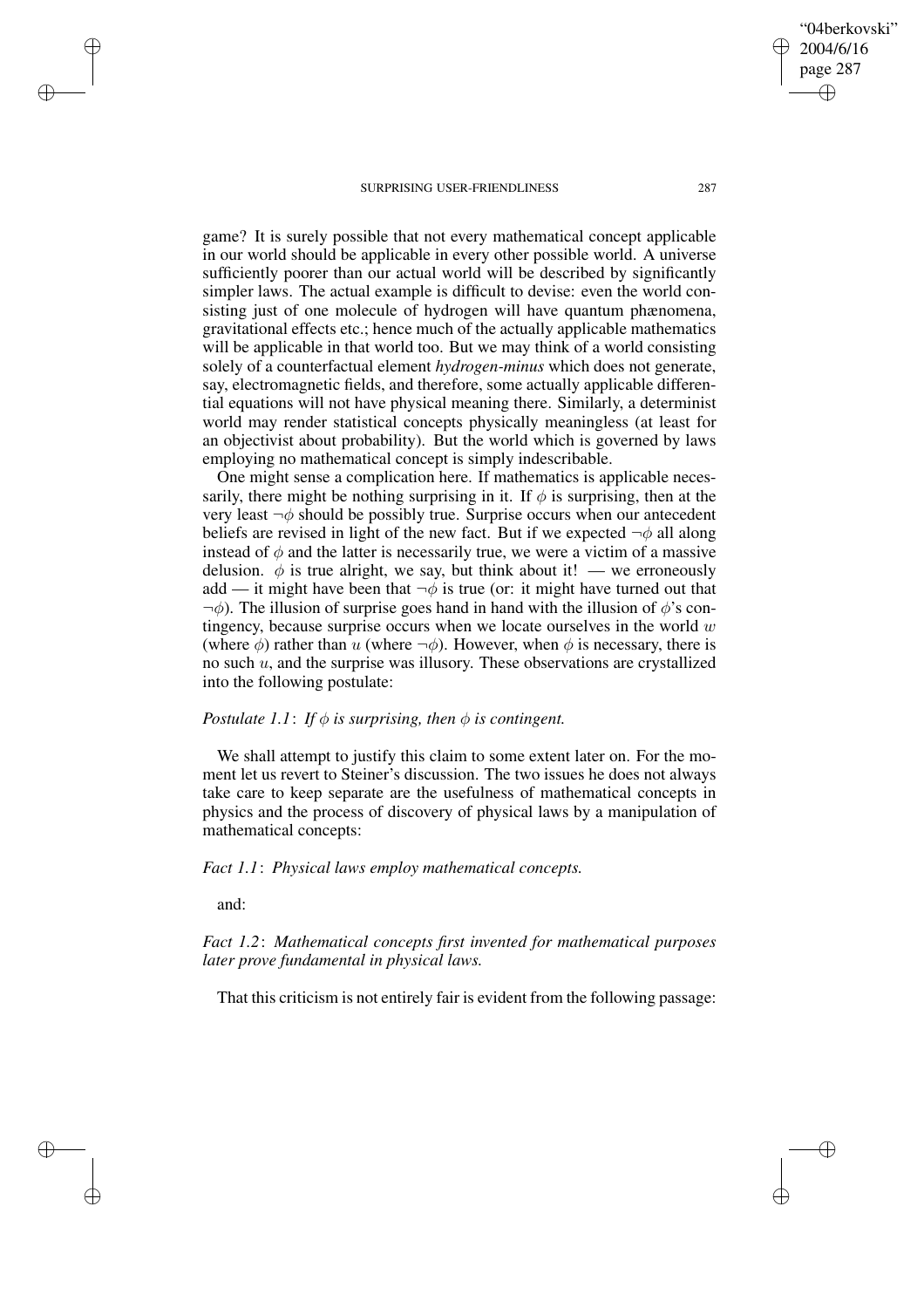game? It is surely possible that not every mathematical concept applicable in our world should be applicable in every other possible world. A universe sufficiently poorer than our actual world will be described by significantly simpler laws. The actual example is difficult to devise: even the world consisting just of one molecule of hydrogen will have quantum phænomena, gravitational effects etc.; hence much of the actually applicable mathematics will be applicable in that world too. But we may think of a world consisting solely of a counterfactual element *hydrogen-minus* which does not generate, say, electromagnetic fields, and therefore, some actually applicable differential equations will not have physical meaning there. Similarly, a determinist world may render statistical concepts physically meaningless (at least for an objectivist about probability). But the world which is governed by laws employing no mathematical concept is simply indescribable.

One might sense a complication here. If mathematics is applicable necessarily, there might be nothing surprising in it. If  $\phi$  is surprising, then at the very least  $\neg \phi$  should be possibly true. Surprise occurs when our antecedent beliefs are revised in light of the new fact. But if we expected  $\neg \phi$  all along instead of  $\phi$  and the latter is necessarily true, we were a victim of a massive delusion.  $\phi$  is true alright, we say, but think about it! — we erroneously add — it might have been that  $\neg \phi$  is true (or: it might have turned out that  $\neg \phi$ ). The illusion of surprise goes hand in hand with the illusion of  $\phi$ 's contingency, because surprise occurs when we locate ourselves in the world  $w$ (where  $\phi$ ) rather than u (where  $\neg \phi$ ). However, when  $\phi$  is necessary, there is no such  $u$ , and the surprise was illusory. These observations are crystallized into the following postulate:

### *Postulate* 1.1: *If*  $\phi$  *is surprising, then*  $\phi$  *is contingent.*

We shall attempt to justify this claim to some extent later on. For the moment let us revert to Steiner's discussion. The two issues he does not always take care to keep separate are the usefulness of mathematical concepts in physics and the process of discovery of physical laws by a manipulation of mathematical concepts:

## *Fact 1.1*: *Physical laws employ mathematical concepts.*

and:

✐

✐

✐

✐

*Fact 1.2*: *Mathematical concepts first invented for mathematical purposes later prove fundamental in physical laws.*

That this criticism is not entirely fair is evident from the following passage:

"04berkovski" 2004/6/16 page 287

✐

✐

✐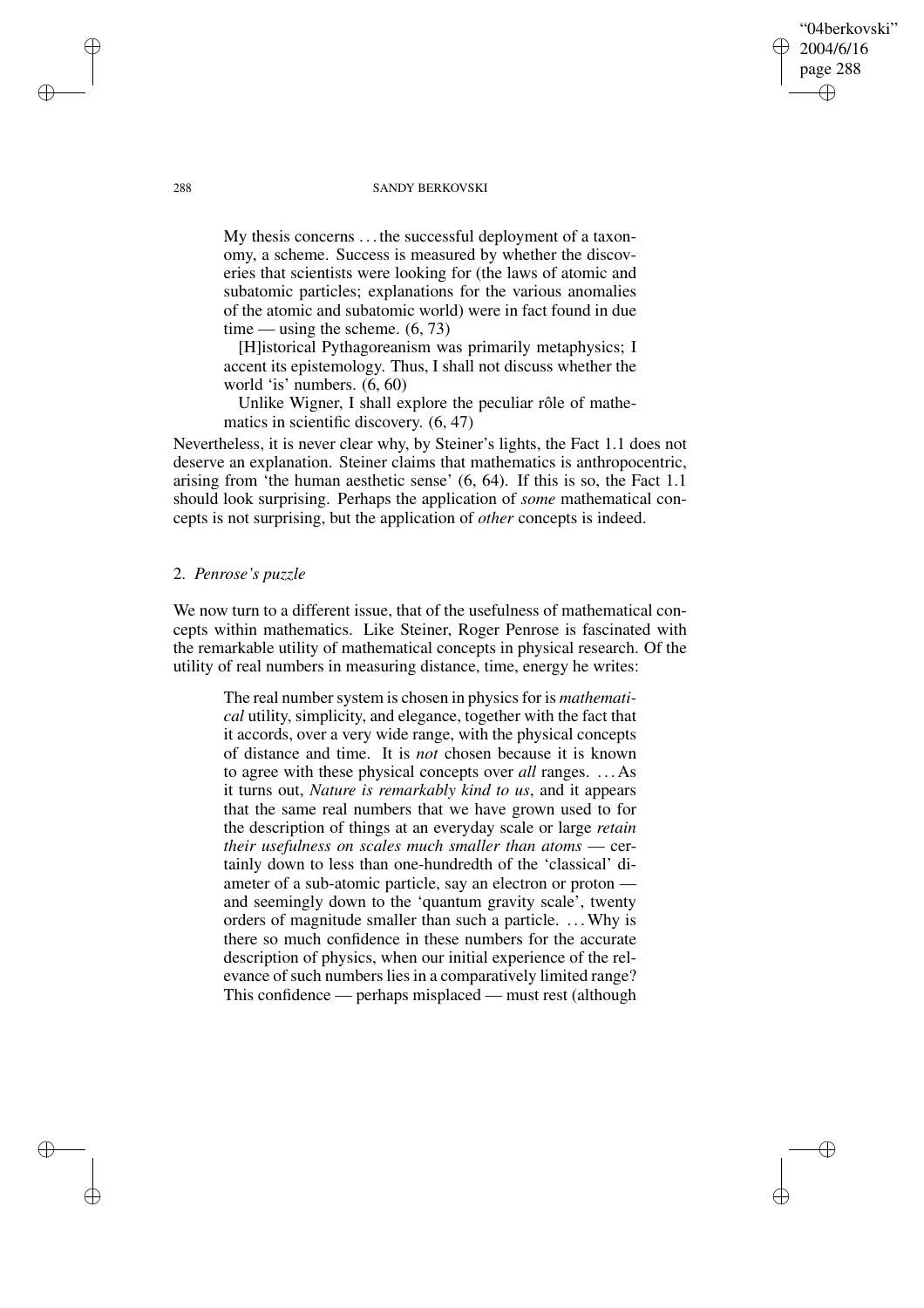### 288 SANDY BERKOVSKI

"04berkovski" 2004/6/16 page 288

✐

✐

✐

✐

My thesis concerns . . . the successful deployment of a taxonomy, a scheme. Success is measured by whether the discoveries that scientists were looking for (the laws of atomic and subatomic particles; explanations for the various anomalies of the atomic and subatomic world) were in fact found in due time — using the scheme.  $(6, 73)$ 

[H]istorical Pythagoreanism was primarily metaphysics; I accent its epistemology. Thus, I shall not discuss whether the world 'is' numbers. (6, 60)

Unlike Wigner, I shall explore the peculiar rôle of mathematics in scientific discovery. (6, 47)

Nevertheless, it is never clear why, by Steiner's lights, the Fact 1.1 does not deserve an explanation. Steiner claims that mathematics is anthropocentric, arising from 'the human aesthetic sense' (6, 64). If this is so, the Fact 1.1 should look surprising. Perhaps the application of *some* mathematical concepts is not surprising, but the application of *other* concepts is indeed.

### 2. *Penrose's puzzle*

We now turn to a different issue, that of the usefulness of mathematical concepts within mathematics. Like Steiner, Roger Penrose is fascinated with the remarkable utility of mathematical concepts in physical research. Of the utility of real numbers in measuring distance, time, energy he writes:

The real number system is chosen in physics for is *mathematical* utility, simplicity, and elegance, together with the fact that it accords, over a very wide range, with the physical concepts of distance and time. It is *not* chosen because it is known to agree with these physical concepts over *all* ranges. . . . As it turns out, *Nature is remarkably kind to us*, and it appears that the same real numbers that we have grown used to for the description of things at an everyday scale or large *retain their usefulness on scales much smaller than atoms* — certainly down to less than one-hundredth of the 'classical' diameter of a sub-atomic particle, say an electron or proton and seemingly down to the 'quantum gravity scale', twenty orders of magnitude smaller than such a particle. . . .Why is there so much confidence in these numbers for the accurate description of physics, when our initial experience of the relevance of such numbers lies in a comparatively limited range? This confidence — perhaps misplaced — must rest (although

✐

✐

✐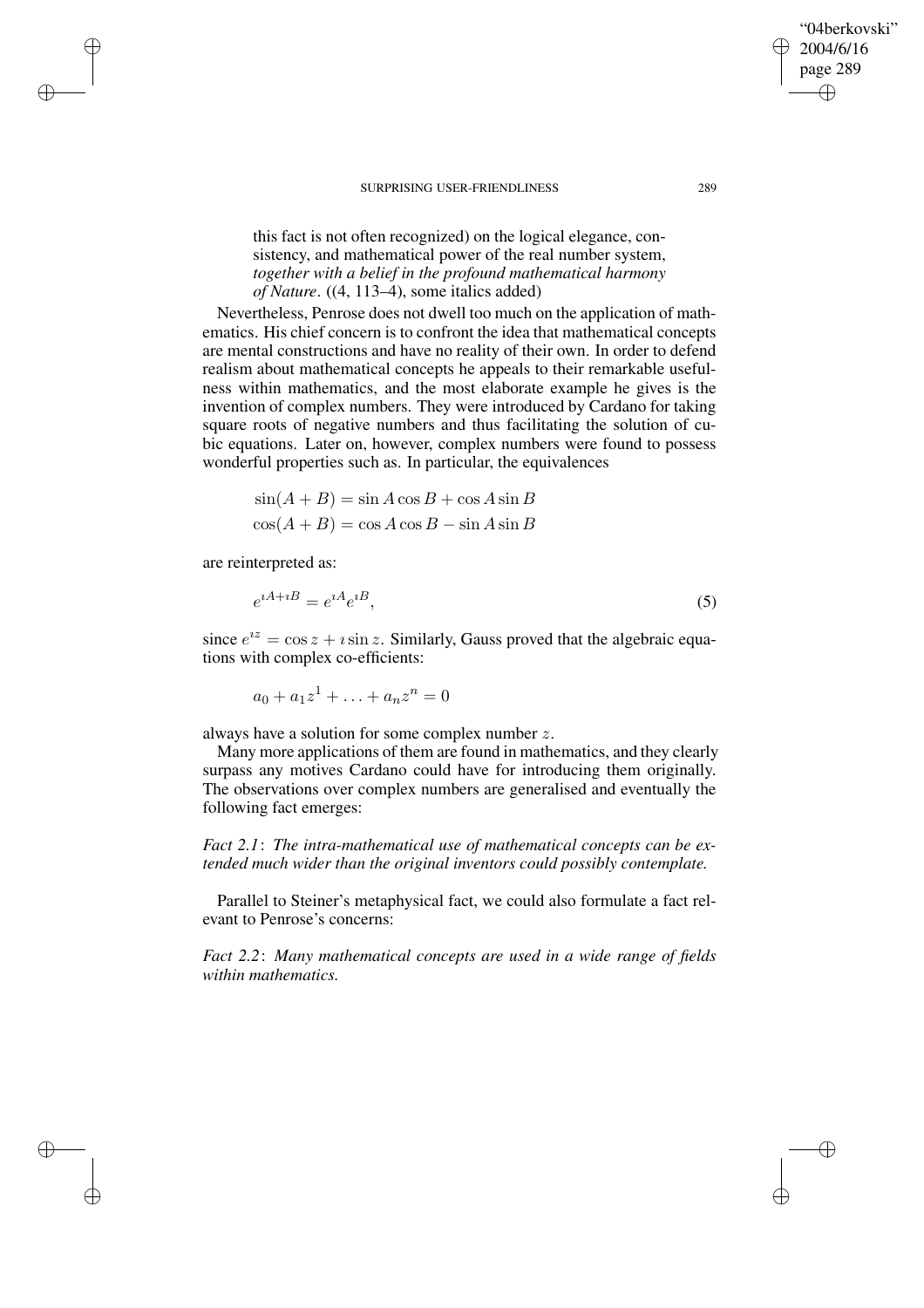this fact is not often recognized) on the logical elegance, consistency, and mathematical power of the real number system, *together with a belief in the profound mathematical harmony of Nature*. ((4, 113–4), some italics added)

Nevertheless, Penrose does not dwell too much on the application of mathematics. His chief concern is to confront the idea that mathematical concepts are mental constructions and have no reality of their own. In order to defend realism about mathematical concepts he appeals to their remarkable usefulness within mathematics, and the most elaborate example he gives is the invention of complex numbers. They were introduced by Cardano for taking square roots of negative numbers and thus facilitating the solution of cubic equations. Later on, however, complex numbers were found to possess wonderful properties such as. In particular, the equivalences

$$
sin(A + B) = sin A cos B + cos A sin B
$$

$$
cos(A + B) = cos A cos B - sin A sin B
$$

are reinterpreted as:

✐

✐

✐

✐

$$
e^{iA+iB} = e^{iA}e^{iB},\tag{5}
$$

since  $e^{iz} = \cos z + i \sin z$ . Similarly, Gauss proved that the algebraic equations with complex co-efficients:

 $a_0 + a_1 z^1 + \ldots + a_n z^n = 0$ 

always have a solution for some complex number z.

Many more applications of them are found in mathematics, and they clearly surpass any motives Cardano could have for introducing them originally. The observations over complex numbers are generalised and eventually the following fact emerges:

*Fact 2.1*: *The intra-mathematical use of mathematical concepts can be extended much wider than the original inventors could possibly contemplate.*

Parallel to Steiner's metaphysical fact, we could also formulate a fact relevant to Penrose's concerns:

*Fact 2.2*: *Many mathematical concepts are used in a wide range of fields within mathematics.*

"04berkovski" 2004/6/16 page 289

✐

✐

✐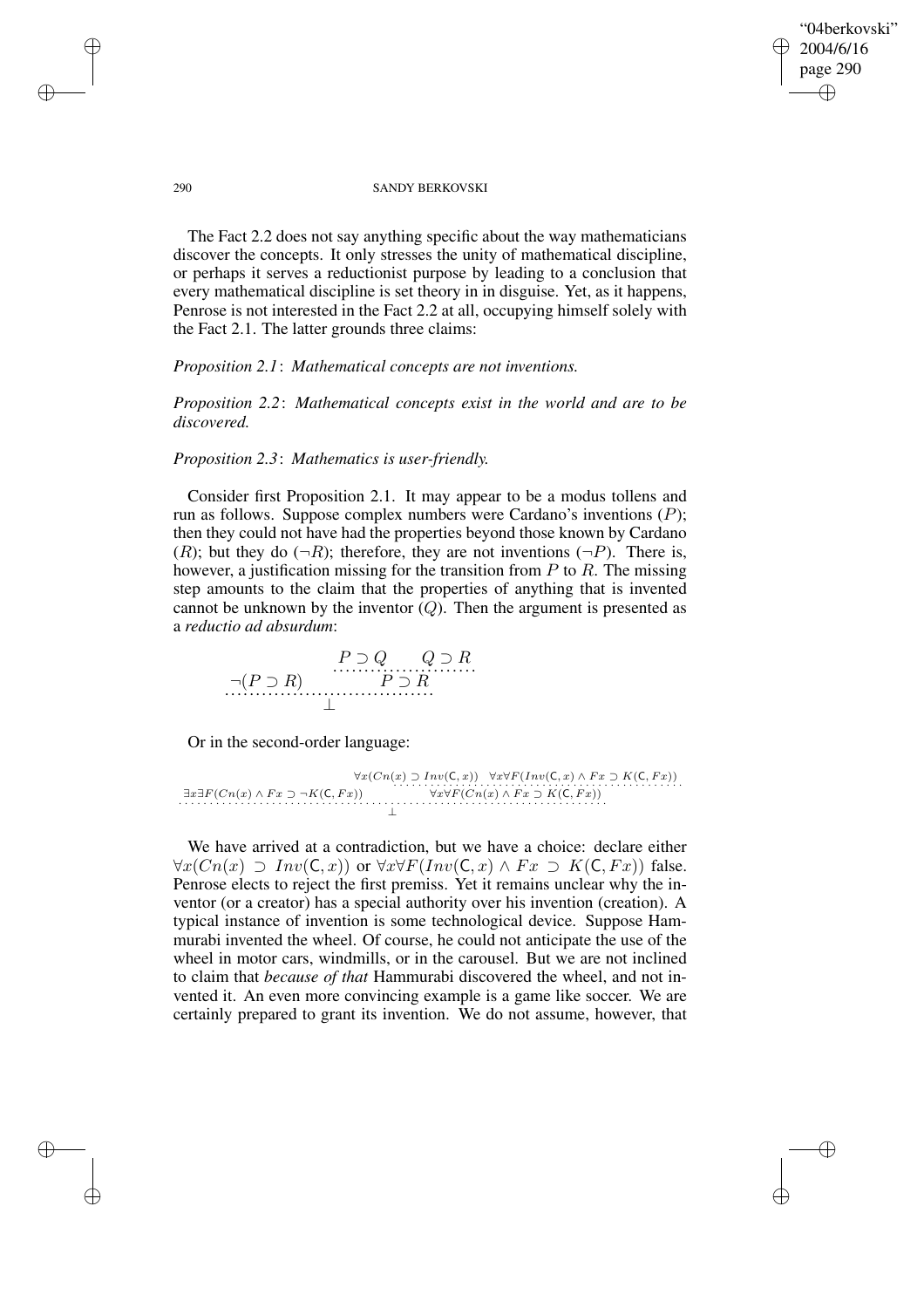"04berkovski" 2004/6/16 page 290 ✐ ✐

✐

✐

### 290 SANDY BERKOVSKI

The Fact 2.2 does not say anything specific about the way mathematicians discover the concepts. It only stresses the unity of mathematical discipline, or perhaps it serves a reductionist purpose by leading to a conclusion that every mathematical discipline is set theory in in disguise. Yet, as it happens, Penrose is not interested in the Fact 2.2 at all, occupying himself solely with the Fact 2.1. The latter grounds three claims:

*Proposition 2.1*: *Mathematical concepts are not inventions.*

*Proposition 2.2*: *Mathematical concepts exist in the world and are to be discovered.*

# *Proposition 2.3*: *Mathematics is user-friendly.*

Consider first Proposition 2.1. It may appear to be a modus tollens and run as follows. Suppose complex numbers were Cardano's inventions (P); then they could not have had the properties beyond those known by Cardano  $(R)$ ; but they do  $(\neg R)$ ; therefore, they are not inventions  $(\neg P)$ . There is, however, a justification missing for the transition from  $P$  to  $R$ . The missing step amounts to the claim that the properties of anything that is invented cannot be unknown by the inventor  $(Q)$ . Then the argument is presented as a *reductio ad absurdum*:

$$
\neg (P \supset R) \qquad P \supset R \qquad P \supset R
$$

Or in the second-order language:

 $\exists x \exists F(Cn(x) \land Fx \supset \neg K(C, Fx))$  $\forall x(Cn(x) \supset Inv(C, x)) \quad \forall x \forall F(Inv(C, x) \land Fx \supset K(C, Fx))$ <br>  $\exists x \exists F(Cn(x) \land Fx \supset \neg K(C, Fx)) \qquad \forall x \forall F(Cn(x) \land Fx \supset K(C, Fx))$ 

We have arrived at a contradiction, but we have a choice: declare either  $\forall x (Cn(x) \supset Inv(C, x))$  or  $\forall x \forall F(Inv(C, x) \land Fx \supset K(C, Fx))$  false. Penrose elects to reject the first premiss. Yet it remains unclear why the inventor (or a creator) has a special authority over his invention (creation). A typical instance of invention is some technological device. Suppose Hammurabi invented the wheel. Of course, he could not anticipate the use of the wheel in motor cars, windmills, or in the carousel. But we are not inclined to claim that *because of that* Hammurabi discovered the wheel, and not invented it. An even more convincing example is a game like soccer. We are certainly prepared to grant its invention. We do not assume, however, that

✐

✐

✐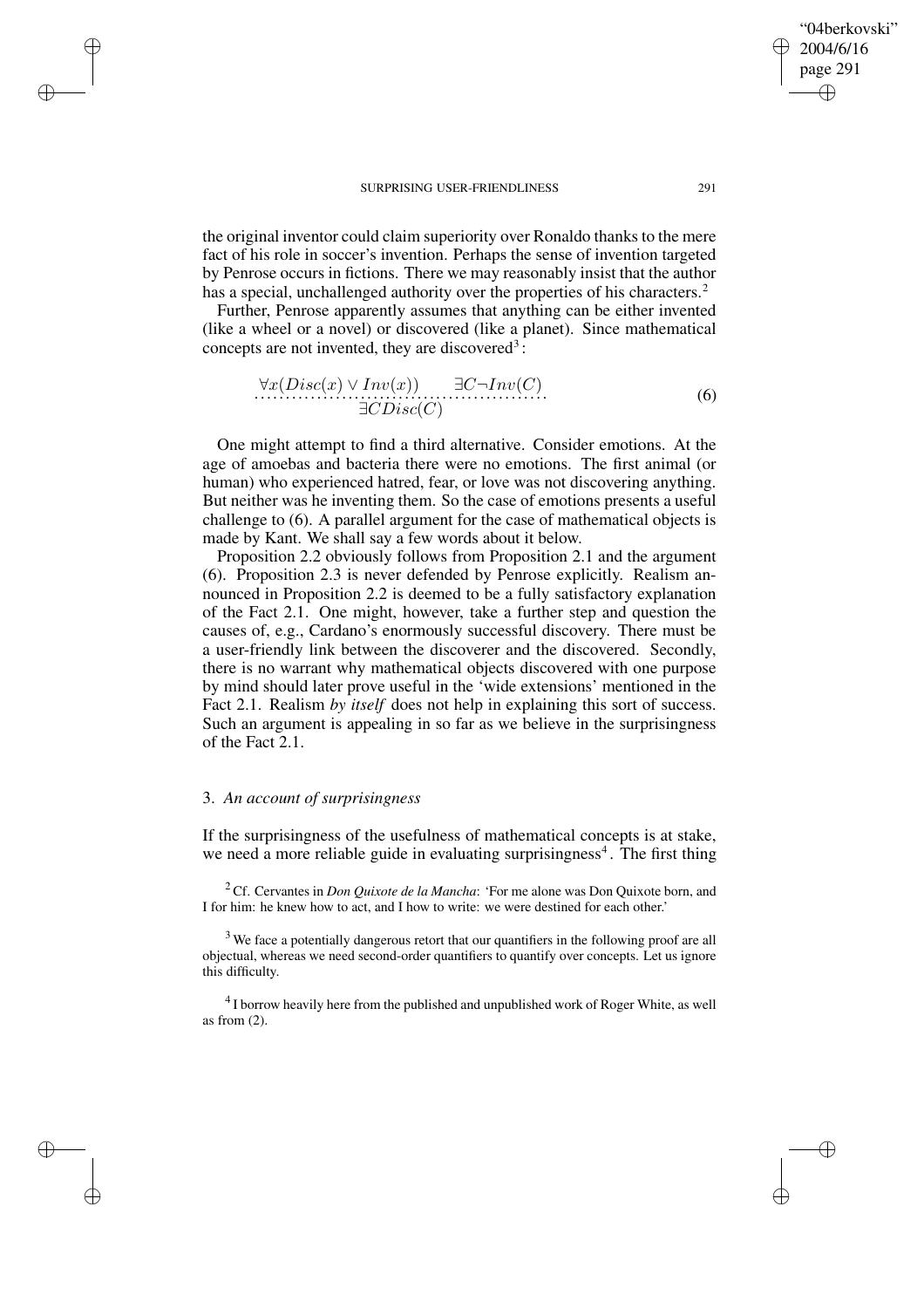the original inventor could claim superiority over Ronaldo thanks to the mere fact of his role in soccer's invention. Perhaps the sense of invention targeted by Penrose occurs in fictions. There we may reasonably insist that the author has a special, unchallenged authority over the properties of his characters.<sup>2</sup>

Further, Penrose apparently assumes that anything can be either invented (like a wheel or a novel) or discovered (like a planet). Since mathematical concepts are not invented, they are discovered<sup>3</sup>:

$$
\forall x(Disc(x) \lor Inv(x)) \quad \exists C \neg Inv(C) \n\exists CDisc(C)
$$
\n(6)

One might attempt to find a third alternative. Consider emotions. At the age of amoebas and bacteria there were no emotions. The first animal (or human) who experienced hatred, fear, or love was not discovering anything. But neither was he inventing them. So the case of emotions presents a useful challenge to (6). A parallel argument for the case of mathematical objects is made by Kant. We shall say a few words about it below.

Proposition 2.2 obviously follows from Proposition 2.1 and the argument (6). Proposition 2.3 is never defended by Penrose explicitly. Realism announced in Proposition 2.2 is deemed to be a fully satisfactory explanation of the Fact 2.1. One might, however, take a further step and question the causes of, e.g., Cardano's enormously successful discovery. There must be a user-friendly link between the discoverer and the discovered. Secondly, there is no warrant why mathematical objects discovered with one purpose by mind should later prove useful in the 'wide extensions' mentioned in the Fact 2.1. Realism *by itself* does not help in explaining this sort of success. Such an argument is appealing in so far as we believe in the surprisingness of the Fact 2.1.

### 3. *An account of surprisingness*

✐

✐

✐

✐

If the surprisingness of the usefulness of mathematical concepts is at stake, we need a more reliable guide in evaluating surprisingness<sup>4</sup>. The first thing

<sup>2</sup> Cf. Cervantes in *Don Quixote de la Mancha*: 'For me alone was Don Quixote born, and I for him: he knew how to act, and I how to write: we were destined for each other.'

<sup>3</sup> We face a potentially dangerous retort that our quantifiers in the following proof are all objectual, whereas we need second-order quantifiers to quantify over concepts. Let us ignore this difficulty.

 $4$ I borrow heavily here from the published and unpublished work of Roger White, as well as from  $(2)$ .

"04berkovski" 2004/6/16 page 291

✐

✐

✐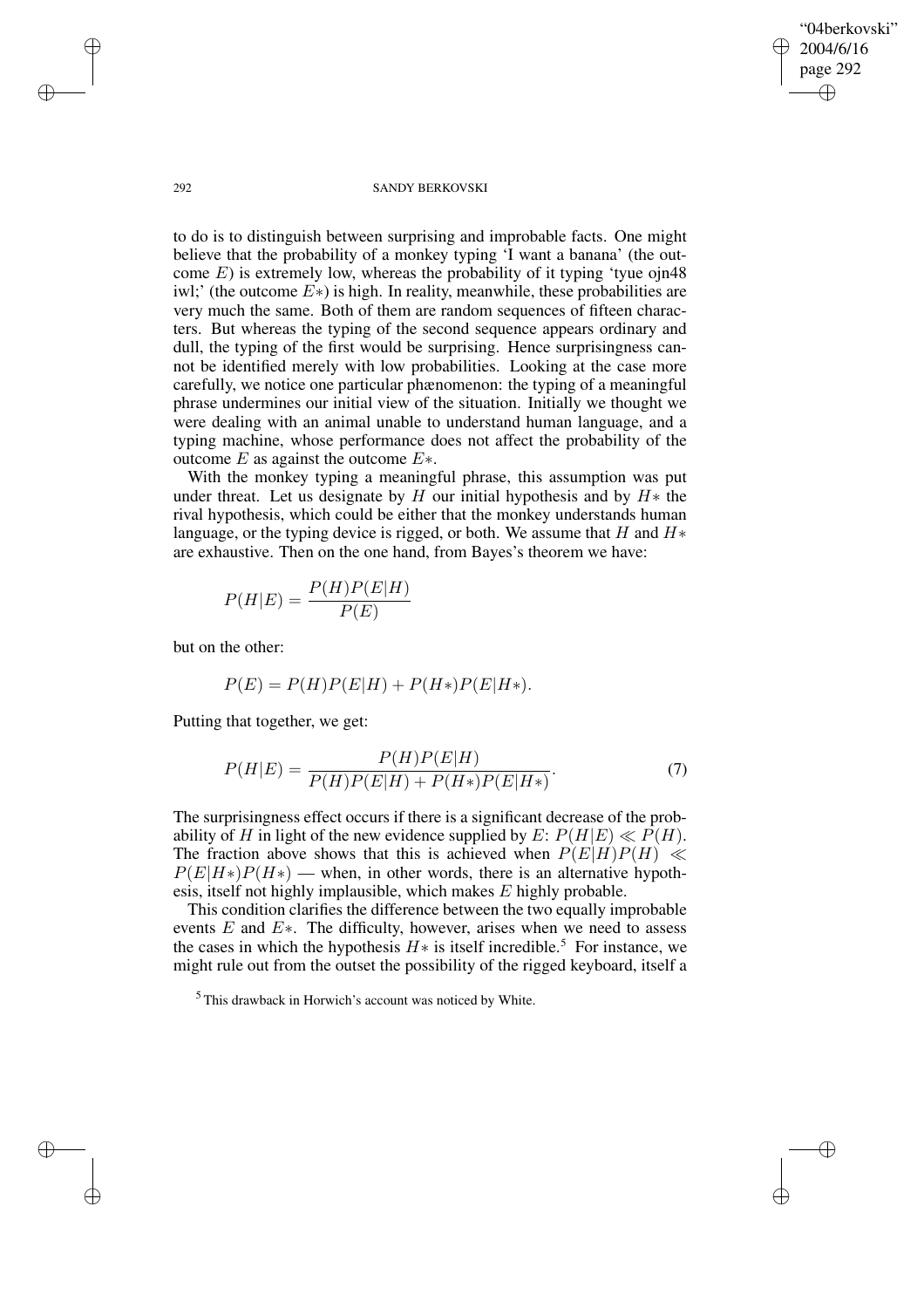"04berkovski" 2004/6/16 page 292 ✐ ✐

✐

✐

### 292 SANDY BERKOVSKI

to do is to distinguish between surprising and improbable facts. One might believe that the probability of a monkey typing 'I want a banana' (the outcome  $E$ ) is extremely low, whereas the probability of it typing 'tyue ojn48 iwl;' (the outcome  $E^*$ ) is high. In reality, meanwhile, these probabilities are very much the same. Both of them are random sequences of fifteen characters. But whereas the typing of the second sequence appears ordinary and dull, the typing of the first would be surprising. Hence surprisingness cannot be identified merely with low probabilities. Looking at the case more carefully, we notice one particular phænomenon: the typing of a meaningful phrase undermines our initial view of the situation. Initially we thought we were dealing with an animal unable to understand human language, and a typing machine, whose performance does not affect the probability of the outcome  $E$  as against the outcome  $E^*$ .

With the monkey typing a meaningful phrase, this assumption was put under threat. Let us designate by H our initial hypothesis and by  $H*$  the rival hypothesis, which could be either that the monkey understands human language, or the typing device is rigged, or both. We assume that  $H$  and  $H*$ are exhaustive. Then on the one hand, from Bayes's theorem we have:

$$
P(H|E) = \frac{P(H)P(E|H)}{P(E)}
$$

but on the other:

$$
P(E) = P(H)P(E|H) + P(H*)P(E|H*).
$$

Putting that together, we get:

$$
P(H|E) = \frac{P(H)P(E|H)}{P(H)P(E|H) + P(H*)P(E|H*)}.
$$
\n(7)

The surprisingness effect occurs if there is a significant decrease of the probability of H in light of the new evidence supplied by  $E: P(H|E) \ll P(H)$ . The fraction above shows that this is achieved when  $P(E|H)P(H) \ll$  $P(E|H*)P(H*)$  — when, in other words, there is an alternative hypothesis, itself not highly implausible, which makes E highly probable.

This condition clarifies the difference between the two equally improbable events  $E$  and  $E^*$ . The difficulty, however, arises when we need to assess the cases in which the hypothesis  $H*$  is itself incredible.<sup>5</sup> For instance, we might rule out from the outset the possibility of the rigged keyboard, itself a

<sup>5</sup> This drawback in Horwich's account was noticed by White.

✐

✐

✐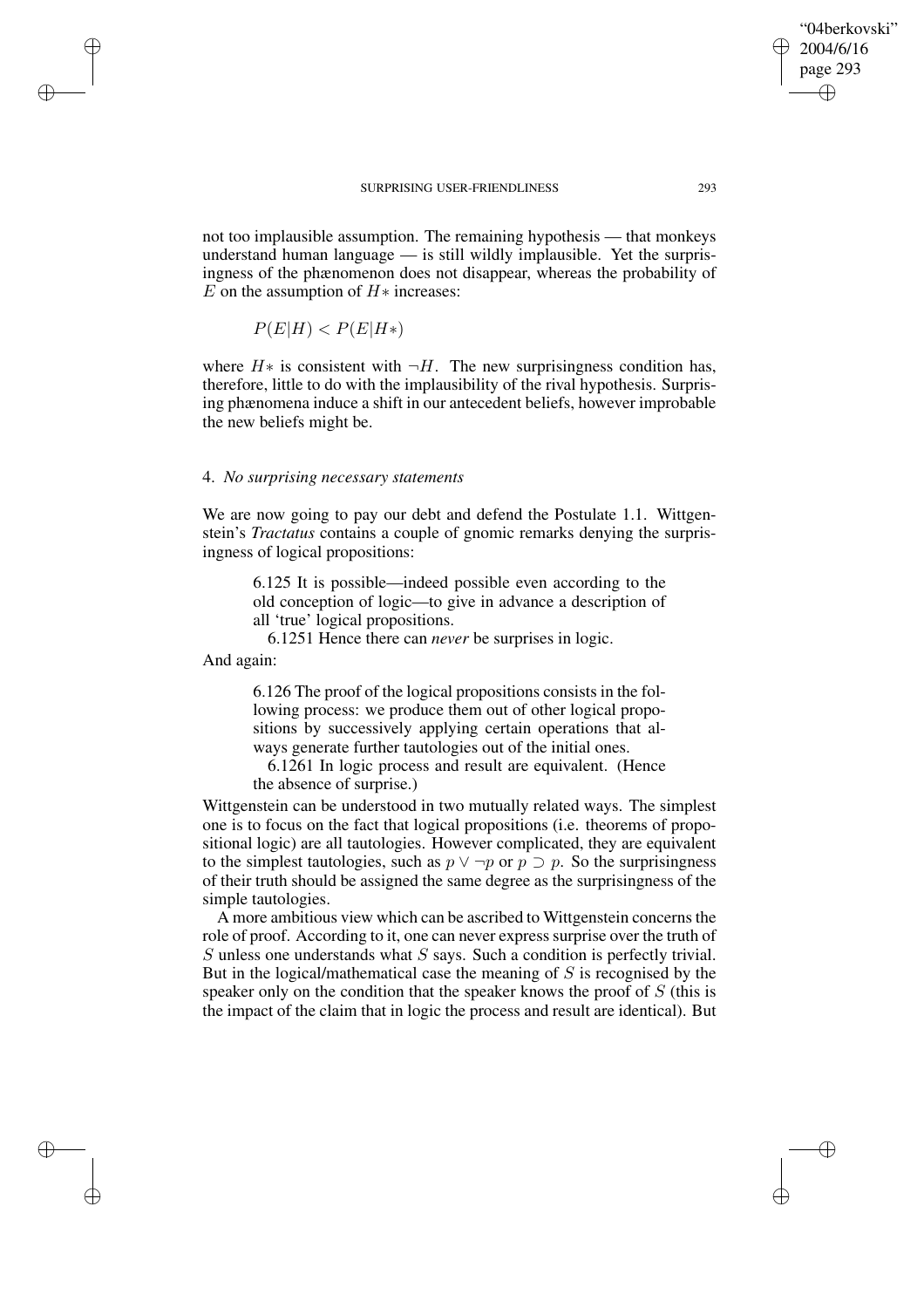not too implausible assumption. The remaining hypothesis — that monkeys understand human language — is still wildly implausible. Yet the surprisingness of the phænomenon does not disappear, whereas the probability of E on the assumption of  $H*$  increases:

$$
P(E|H) < P(E|H*)
$$

where  $H*$  is consistent with  $\neg H$ . The new surprisingness condition has, therefore, little to do with the implausibility of the rival hypothesis. Surprising phænomena induce a shift in our antecedent beliefs, however improbable the new beliefs might be.

## 4. *No surprising necessary statements*

We are now going to pay our debt and defend the Postulate 1.1. Wittgenstein's *Tractatus* contains a couple of gnomic remarks denying the surprisingness of logical propositions:

6.125 It is possible—indeed possible even according to the old conception of logic—to give in advance a description of all 'true' logical propositions.

6.1251 Hence there can *never* be surprises in logic.

And again:

✐

✐

✐

✐

6.126 The proof of the logical propositions consists in the following process: we produce them out of other logical propositions by successively applying certain operations that always generate further tautologies out of the initial ones.

6.1261 In logic process and result are equivalent. (Hence the absence of surprise.)

Wittgenstein can be understood in two mutually related ways. The simplest one is to focus on the fact that logical propositions (i.e. theorems of propositional logic) are all tautologies. However complicated, they are equivalent to the simplest tautologies, such as  $p \lor \neg p$  or  $p \supset p$ . So the surprisingness of their truth should be assigned the same degree as the surprisingness of the simple tautologies.

A more ambitious view which can be ascribed to Wittgenstein concerns the role of proof. According to it, one can never express surprise over the truth of  $S$  unless one understands what  $S$  says. Such a condition is perfectly trivial. But in the logical/mathematical case the meaning of  $S$  is recognised by the speaker only on the condition that the speaker knows the proof of S (this is the impact of the claim that in logic the process and result are identical). But

"04berkovski" 2004/6/16 page 293

✐

✐

✐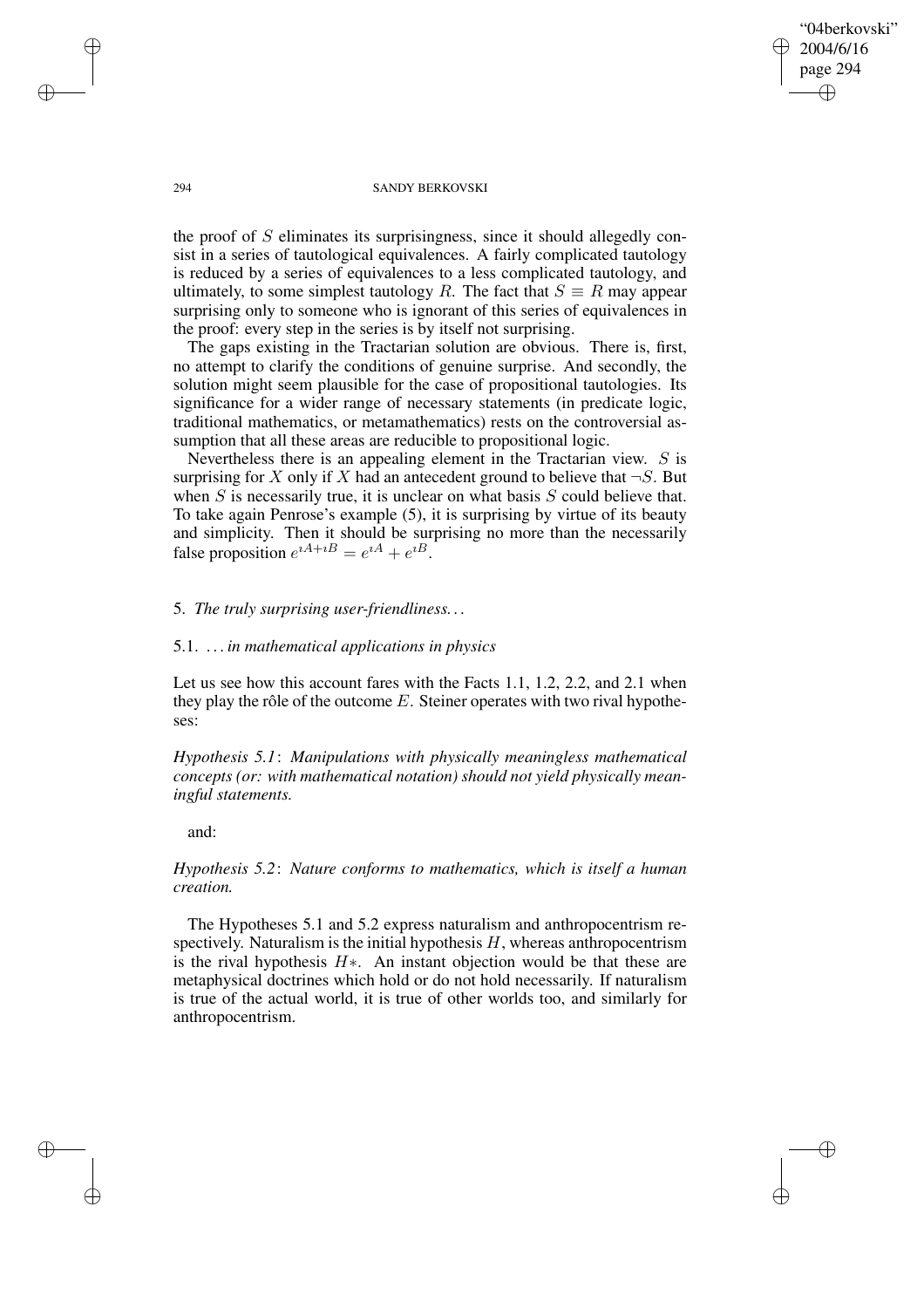"04berkovski" 2004/6/16 page 294 ✐ ✐

✐

✐

### 294 SANDY BERKOVSKI

the proof of S eliminates its surprisingness, since it should allegedly consist in a series of tautological equivalences. A fairly complicated tautology is reduced by a series of equivalences to a less complicated tautology, and ultimately, to some simplest tautology R. The fact that  $S \equiv R$  may appear surprising only to someone who is ignorant of this series of equivalences in the proof: every step in the series is by itself not surprising.

The gaps existing in the Tractarian solution are obvious. There is, first, no attempt to clarify the conditions of genuine surprise. And secondly, the solution might seem plausible for the case of propositional tautologies. Its significance for a wider range of necessary statements (in predicate logic, traditional mathematics, or metamathematics) rests on the controversial assumption that all these areas are reducible to propositional logic.

Nevertheless there is an appealing element in the Tractarian view. S is surprising for X only if X had an antecedent ground to believe that  $\neg S$ . But when  $S$  is necessarily true, it is unclear on what basis  $S$  could believe that. To take again Penrose's example (5), it is surprising by virtue of its beauty and simplicity. Then it should be surprising no more than the necessarily false proposition  $e^{iA+iB} = e^{iA} + e^{iB}$ .

# 5. *The truly surprising user-friendliness. . .*

# 5.1. *. . . in mathematical applications in physics*

Let us see how this account fares with the Facts 1.1, 1.2, 2.2, and 2.1 when they play the rôle of the outcome  $E$ . Steiner operates with two rival hypotheses:

*Hypothesis 5.1*: *Manipulations with physically meaningless mathematical concepts (or: with mathematical notation) should not yield physically meaningful statements.*

and:

# *Hypothesis 5.2*: *Nature conforms to mathematics, which is itself a human creation.*

The Hypotheses 5.1 and 5.2 express naturalism and anthropocentrism respectively. Naturalism is the initial hypothesis  $H$ , whereas anthropocentrism is the rival hypothesis  $H*$ . An instant objection would be that these are metaphysical doctrines which hold or do not hold necessarily. If naturalism is true of the actual world, it is true of other worlds too, and similarly for anthropocentrism.

✐

✐

✐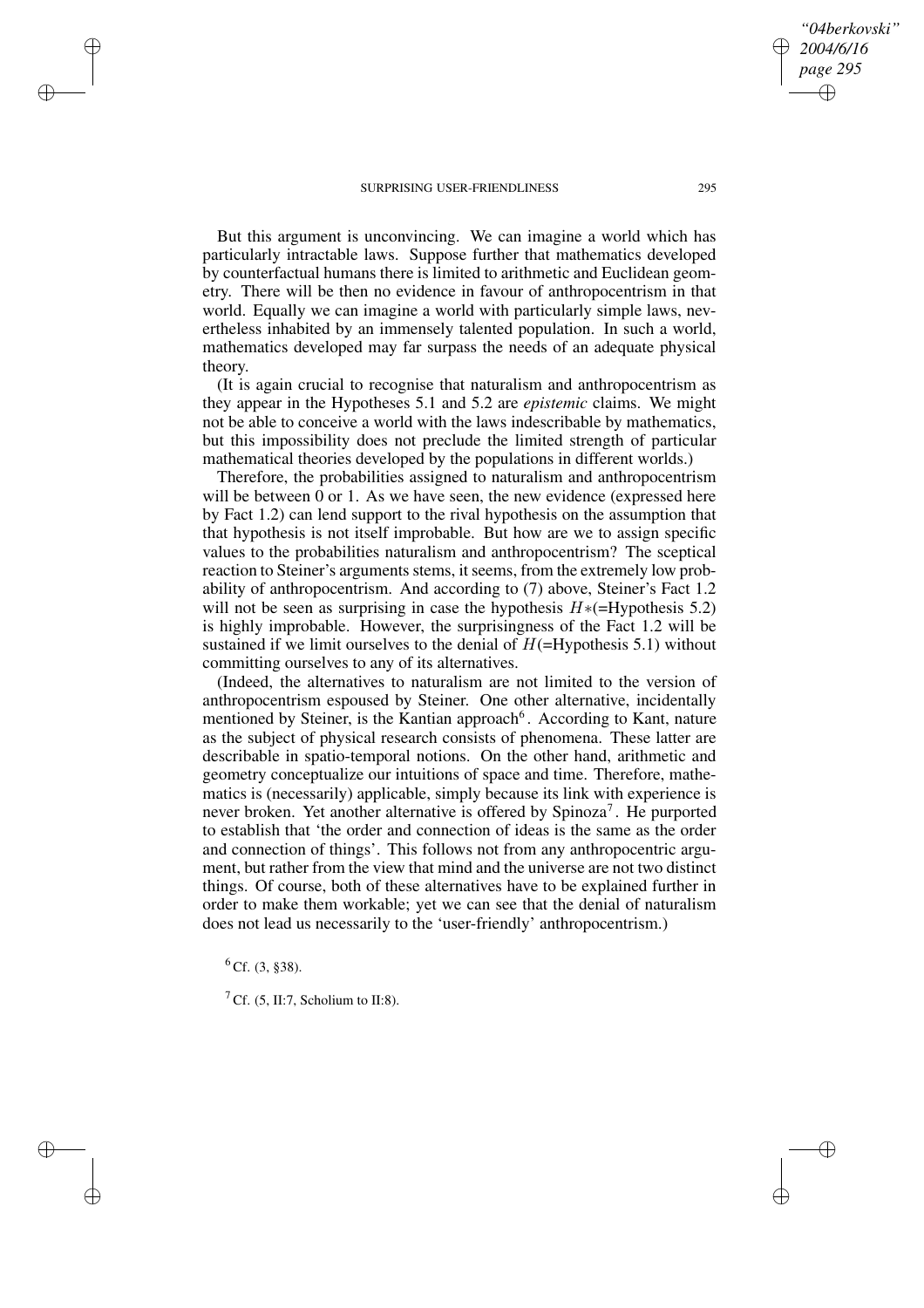But this argument is unconvincing. We can imagine a world which has particularly intractable laws. Suppose further that mathematics developed by counterfactual humans there is limited to arithmetic and Euclidean geometry. There will be then no evidence in favour of anthropocentrism in that world. Equally we can imagine a world with particularly simple laws, nevertheless inhabited by an immensely talented population. In such a world, mathematics developed may far surpass the needs of an adequate physical theory.

(It is again crucial to recognise that naturalism and anthropocentrism as they appear in the Hypotheses 5.1 and 5.2 are *epistemic* claims. We might not be able to conceive a world with the laws indescribable by mathematics, but this impossibility does not preclude the limited strength of particular mathematical theories developed by the populations in different worlds.)

Therefore, the probabilities assigned to naturalism and anthropocentrism will be between 0 or 1. As we have seen, the new evidence (expressed here by Fact 1.2) can lend support to the rival hypothesis on the assumption that that hypothesis is not itself improbable. But how are we to assign specific values to the probabilities naturalism and anthropocentrism? The sceptical reaction to Steiner's arguments stems, it seems, from the extremely low probability of anthropocentrism. And according to (7) above, Steiner's Fact 1.2 will not be seen as surprising in case the hypothesis  $H*(-Hypothesis 5.2)$ is highly improbable. However, the surprisingness of the Fact 1.2 will be sustained if we limit ourselves to the denial of  $H$ (=Hypothesis 5.1) without committing ourselves to any of its alternatives.

(Indeed, the alternatives to naturalism are not limited to the version of anthropocentrism espoused by Steiner. One other alternative, incidentally mentioned by Steiner, is the Kantian approach<sup>6</sup>. According to Kant, nature as the subject of physical research consists of phenomena. These latter are describable in spatio-temporal notions. On the other hand, arithmetic and geometry conceptualize our intuitions of space and time. Therefore, mathematics is (necessarily) applicable, simply because its link with experience is never broken. Yet another alternative is offered by Spinoza<sup>7</sup>. He purported to establish that 'the order and connection of ideas is the same as the order and connection of things'. This follows not from any anthropocentric argument, but rather from the view that mind and the universe are not two distinct things. Of course, both of these alternatives have to be explained further in order to make them workable; yet we can see that the denial of naturalism does not lead us necessarily to the 'user-friendly' anthropocentrism.)

 ${}^{6}$  Cf. (3, §38).

✐

✐

✐

✐

<sup>7</sup> Cf. (5, II:7, Scholium to II:8).

*"04berkovski" 2004/6/16 page 295*

✐

✐

✐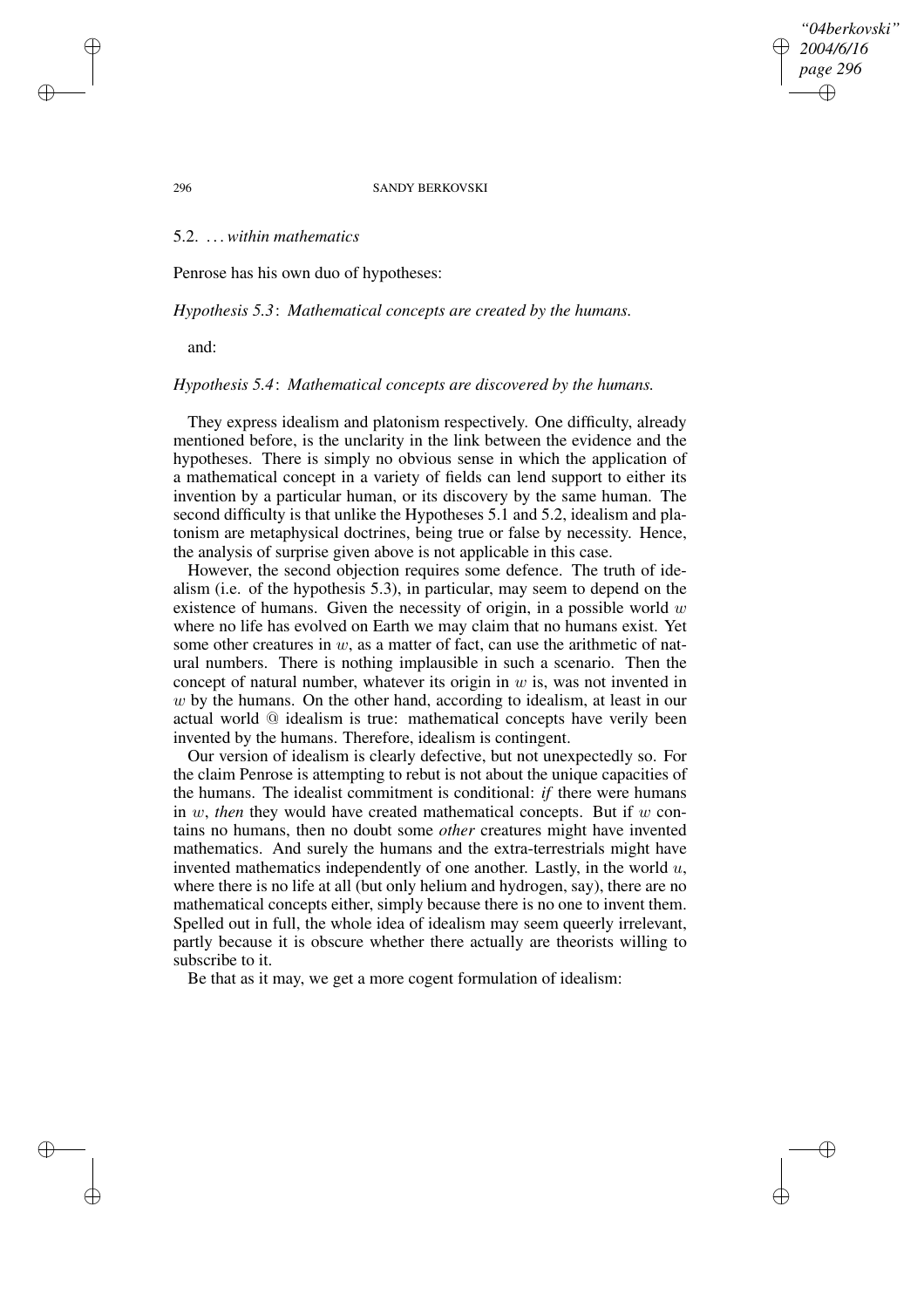*"04berkovski" 2004/6/16 page 296* ✐ ✐

✐

✐

### 296 SANDY BERKOVSKI

# 5.2. *. . .within mathematics*

Penrose has his own duo of hypotheses:

### *Hypothesis 5.3*: *Mathematical concepts are created by the humans.*

and:

# *Hypothesis 5.4*: *Mathematical concepts are discovered by the humans.*

They express idealism and platonism respectively. One difficulty, already mentioned before, is the unclarity in the link between the evidence and the hypotheses. There is simply no obvious sense in which the application of a mathematical concept in a variety of fields can lend support to either its invention by a particular human, or its discovery by the same human. The second difficulty is that unlike the Hypotheses 5.1 and 5.2, idealism and platonism are metaphysical doctrines, being true or false by necessity. Hence, the analysis of surprise given above is not applicable in this case.

However, the second objection requires some defence. The truth of idealism (i.e. of the hypothesis 5.3), in particular, may seem to depend on the existence of humans. Given the necessity of origin, in a possible world  $w$ where no life has evolved on Earth we may claim that no humans exist. Yet some other creatures in  $w$ , as a matter of fact, can use the arithmetic of natural numbers. There is nothing implausible in such a scenario. Then the concept of natural number, whatever its origin in  $w$  is, was not invented in w by the humans. On the other hand, according to idealism, at least in our actual world @ idealism is true: mathematical concepts have verily been invented by the humans. Therefore, idealism is contingent.

Our version of idealism is clearly defective, but not unexpectedly so. For the claim Penrose is attempting to rebut is not about the unique capacities of the humans. The idealist commitment is conditional: *if* there were humans in  $w$ , *then* they would have created mathematical concepts. But if  $w$  contains no humans, then no doubt some *other* creatures might have invented mathematics. And surely the humans and the extra-terrestrials might have invented mathematics independently of one another. Lastly, in the world  $u$ , where there is no life at all (but only helium and hydrogen, say), there are no mathematical concepts either, simply because there is no one to invent them. Spelled out in full, the whole idea of idealism may seem queerly irrelevant, partly because it is obscure whether there actually are theorists willing to subscribe to it.

Be that as it may, we get a more cogent formulation of idealism:

✐

✐

✐